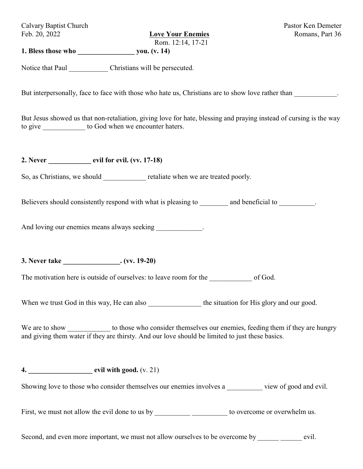Calvary Baptist Church Pastor Ken Demeter Feb. 20, 2022 **Love Your Enemies** Romans, Part 36

Rom. 12:14, 17-21

**1. Bless those who \_\_\_\_\_\_\_\_\_\_\_\_\_\_\_\_ you. (v. 14)**

Notice that Paul Christians will be persecuted.

But interpersonally, face to face with those who hate us, Christians are to show love rather than

But Jesus showed us that non-retaliation, giving love for hate, blessing and praying instead of cursing is the way to give \_\_\_\_\_\_\_\_\_\_\_\_\_ to God when we encounter haters.

**2. Never \_\_\_\_\_\_\_\_\_\_\_\_ evil for evil. (vv. 17-18)**

So, as Christians, we should retaliate when we are treated poorly.

Believers should consistently respond with what is pleasing to and beneficial to  $\blacksquare$ .

And loving our enemies means always seeking  $\blacksquare$ 

**3. Never take \_\_\_\_\_\_\_\_\_\_\_\_\_\_\_\_. (vv. 19-20)**

The motivation here is outside of ourselves: to leave room for the of God.

When we trust God in this way, He can also the situation for His glory and our good.

We are to show \_\_\_\_\_\_\_\_\_\_\_\_\_\_ to those who consider themselves our enemies, feeding them if they are hungry and giving them water if they are thirsty. And our love should be limited to just these basics.

**4. \_\_\_\_\_\_\_\_\_\_\_\_\_\_\_\_\_\_ evil with good.** (v. 21)

Showing love to those who consider themselves our enemies involves a wiew of good and evil.

First, we must not allow the evil done to us by \_\_\_\_\_\_\_\_\_\_\_\_\_\_\_\_\_\_\_\_\_\_\_\_\_ to overcome or overwhelm us.

Second, and even more important, we must not allow ourselves to be overcome by evil.